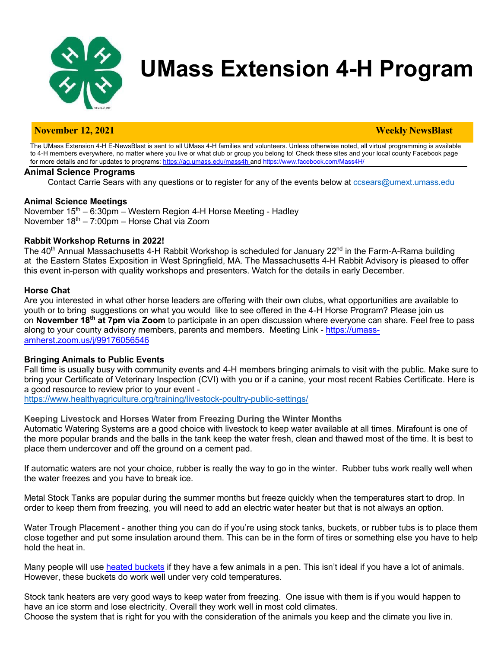

# **UMass Extension 4-H Program**

# **November 12, 2021 Weekly NewsBlast**

The UMass Extension 4-H E-NewsBlast is sent to all UMass 4-H families and volunteers. Unless otherwise noted, all virtual programming is available to 4-H members everywhere, no matter where you live or what club or group you belong to! Check these sites and your local county Facebook page for more details and for updates to programs: https://ag.umass.edu/mass4h and https://www.facebook.com/Mass4H/

#### **Animal Science Programs**

Contact Carrie Sears with any questions or to register for any of the events below at ccsears@umext.umass.edu

#### **Animal Science Meetings**

November 15<sup>th</sup> – 6:30pm – Western Region 4-H Horse Meeting - Hadley November  $18<sup>th</sup> - 7:00<sub>pm</sub> -$  Horse Chat via Zoom

#### **Rabbit Workshop Returns in 2022!**

The 40<sup>th</sup> Annual Massachusetts 4-H Rabbit Workshop is scheduled for January 22<sup>nd</sup> in the Farm-A-Rama building at the Eastern States Exposition in West Springfield, MA. The Massachusetts 4-H Rabbit Advisory is pleased to offer this event in-person with quality workshops and presenters. Watch for the details in early December.

#### **Horse Chat**

Are you interested in what other horse leaders are offering with their own clubs, what opportunities are available to youth or to bring suggestions on what you would like to see offered in the 4-H Horse Program? Please join us on **November 18th at 7pm via Zoom** to participate in an open discussion where everyone can share. Feel free to pass along to your county advisory members, parents and members. Meeting Link - https://umassamherst.zoom.us/j/99176056546

#### **Bringing Animals to Public Events**

Fall time is usually busy with community events and 4-H members bringing animals to visit with the public. Make sure to bring your Certificate of Veterinary Inspection (CVI) with you or if a canine, your most recent Rabies Certificate. Here is a good resource to review prior to your event -

https://www.healthyagriculture.org/training/livestock-poultry-public-settings/

**Keeping Livestock and Horses Water from Freezing During the Winter Months**

Automatic Watering Systems are a good choice with livestock to keep water available at all times. Mirafount is one of the more popular brands and the balls in the tank keep the water fresh, clean and thawed most of the time. It is best to place them undercover and off the ground on a cement pad.

If automatic waters are not your choice, rubber is really the way to go in the winter. Rubber tubs work really well when the water freezes and you have to break ice.

Metal Stock Tanks are popular during the summer months but freeze quickly when the temperatures start to drop. In order to keep them from freezing, you will need to add an electric water heater but that is not always an option.

Water Trough Placement - another thing you can do if you're using stock tanks, buckets, or rubber tubs is to place them close together and put some insulation around them. This can be in the form of tires or something else you have to help hold the heat in.

Many people will use heated buckets if they have a few animals in a pen. This isn't ideal if you have a lot of animals. However, these buckets do work well under very cold temperatures.

Stock tank heaters are very good ways to keep water from freezing. One issue with them is if you would happen to have an ice storm and lose electricity. Overall they work well in most cold climates. Choose the system that is right for you with the consideration of the animals you keep and the climate you live in.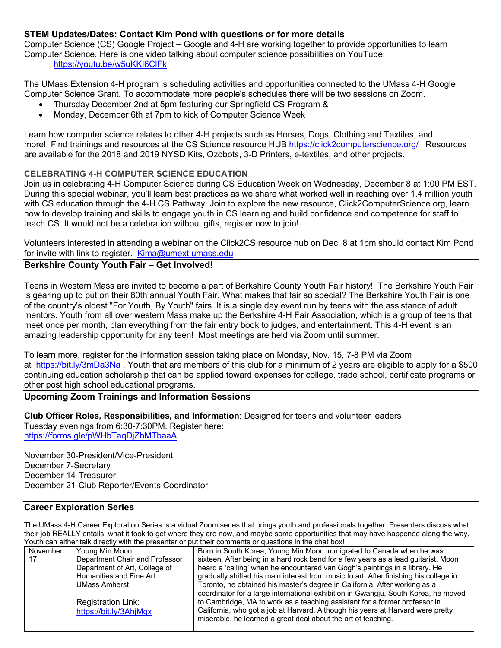# **STEM Updates/Dates: Contact Kim Pond with questions or for more details**

Computer Science (CS) Google Project – Google and 4-H are working together to provide opportunities to learn Computer Science. Here is one video talking about computer science possibilities on YouTube: https://youtu.be/w5uKKI6ClFk

The UMass Extension 4-H program is scheduling activities and opportunities connected to the UMass 4-H Google Computer Science Grant. To accommodate more people's schedules there will be two sessions on Zoom.

- Thursday December 2nd at 5pm featuring our Springfield CS Program &
- Monday, December 6th at 7pm to kick of Computer Science Week

Learn how computer science relates to other 4-H projects such as Horses, Dogs, Clothing and Textiles, and more! Find trainings and resources at the CS Science resource HUB https://click2computerscience.org/ Resources are available for the 2018 and 2019 NYSD Kits, Ozobots, 3-D Printers, e-textiles, and other projects.

# **CELEBRATING 4-H COMPUTER SCIENCE EDUCATION**

Join us in celebrating 4-H Computer Science during CS Education Week on Wednesday, December 8 at 1:00 PM EST. During this special webinar, you'll learn best practices as we share what worked well in reaching over 1.4 million youth with CS education through the 4-H CS Pathway. Join to explore the new resource, Click2ComputerScience.org, learn how to develop training and skills to engage youth in CS learning and build confidence and competence for staff to teach CS. It would not be a celebration without gifts, register now to join!

Volunteers interested in attending a webinar on the Click2CS resource hub on Dec. 8 at 1pm should contact Kim Pond for invite with link to register. Kima@umext.umass.edu

# **Berkshire County Youth Fair – Get Involved!**

Teens in Western Mass are invited to become a part of Berkshire County Youth Fair history! The Berkshire Youth Fair is gearing up to put on their 80th annual Youth Fair. What makes that fair so special? The Berkshire Youth Fair is one of the country's oldest "For Youth, By Youth" fairs. It is a single day event run by teens with the assistance of adult mentors. Youth from all over western Mass make up the Berkshire 4-H Fair Association, which is a group of teens that meet once per month, plan everything from the fair entry book to judges, and entertainment. This 4-H event is an amazing leadership opportunity for any teen! Most meetings are held via Zoom until summer.

To learn more, register for the information session taking place on Monday, Nov. 15, 7-8 PM via Zoom at https://bit.ly/3mDa3Na . Youth that are members of this club for a minimum of 2 years are eligible to apply for a \$500 continuing education scholarship that can be applied toward expenses for college, trade school, certificate programs or other post high school educational programs.

# **Upcoming Zoom Trainings and Information Sessions**

**Club Officer Roles, Responsibilities, and Information**: Designed for teens and volunteer leaders Tuesday evenings from 6:30-7:30PM. Register here: https://forms.gle/pWHbTaqDjZhMTbaaA

November 30-President/Vice-President December 7-Secretary December 14-Treasurer December 21-Club Reporter/Events Coordinator

#### **Career Exploration Series**

The UMass 4-H Career Exploration Series is a virtual Zoom series that brings youth and professionals together. Presenters discuss what their job REALLY entails, what it took to get where they are now, and maybe some opportunities that may have happened along the way. Youth can either talk directly with the presenter or put their comments or questions in the chat box!

| road oan oan onder an ood him die procenter of pat dien commente of gaocdone in die onat box. |                                |                                                                                       |  |
|-----------------------------------------------------------------------------------------------|--------------------------------|---------------------------------------------------------------------------------------|--|
| November                                                                                      | Young Min Moon                 | Born in South Korea, Young Min Moon immigrated to Canada when he was                  |  |
|                                                                                               | Department Chair and Professor | sixteen. After being in a hard rock band for a few years as a lead guitarist, Moon    |  |
|                                                                                               | Department of Art, College of  | heard a 'calling' when he encountered van Gogh's paintings in a library. He           |  |
|                                                                                               | Humanities and Fine Art        | gradually shifted his main interest from music to art. After finishing his college in |  |
|                                                                                               | <b>UMass Amherst</b>           | Toronto, he obtained his master's degree in California. After working as a            |  |
|                                                                                               |                                | coordinator for a large international exhibition in Gwangju, South Korea, he moved    |  |
|                                                                                               | Registration Link:             | to Cambridge, MA to work as a teaching assistant for a former professor in            |  |
|                                                                                               | https://bit.ly/3AhjMgx         | California, who got a job at Harvard. Although his years at Harvard were pretty       |  |
|                                                                                               |                                | miserable, he learned a great deal about the art of teaching.                         |  |
|                                                                                               |                                |                                                                                       |  |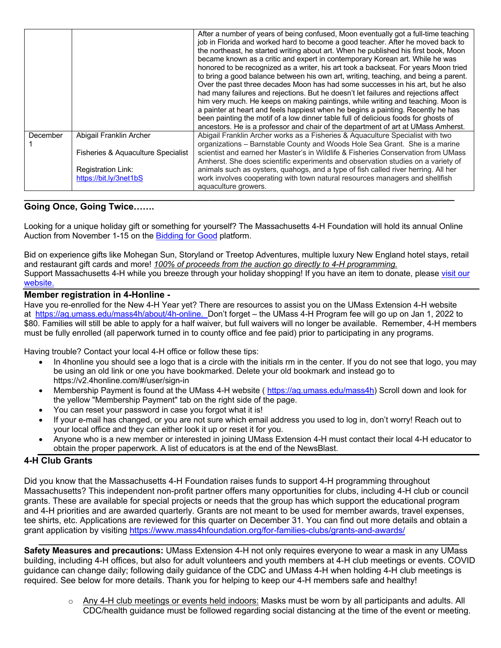|          |                                                                                                                      | After a number of years of being confused, Moon eventually got a full-time teaching<br>job in Florida and worked hard to become a good teacher. After he moved back to<br>the northeast, he started writing about art. When he published his first book, Moon<br>became known as a critic and expert in contemporary Korean art. While he was<br>honored to be recognized as a writer, his art took a backseat. For years Moon tried<br>to bring a good balance between his own art, writing, teaching, and being a parent.<br>Over the past three decades Moon has had some successes in his art, but he also<br>had many failures and rejections. But he doesn't let failures and rejections affect<br>him very much. He keeps on making paintings, while writing and teaching. Moon is<br>a painter at heart and feels happiest when he begins a painting. Recently he has<br>been painting the motif of a low dinner table full of delicious foods for ghosts of<br>ancestors. He is a professor and chair of the department of art at UMass Amherst. |
|----------|----------------------------------------------------------------------------------------------------------------------|-----------------------------------------------------------------------------------------------------------------------------------------------------------------------------------------------------------------------------------------------------------------------------------------------------------------------------------------------------------------------------------------------------------------------------------------------------------------------------------------------------------------------------------------------------------------------------------------------------------------------------------------------------------------------------------------------------------------------------------------------------------------------------------------------------------------------------------------------------------------------------------------------------------------------------------------------------------------------------------------------------------------------------------------------------------|
| December | Abigail Franklin Archer<br>Fisheries & Aguaculture Specialist<br><b>Registration Link:</b><br>https://bit.ly/3net1bS | Abigail Franklin Archer works as a Fisheries & Aquaculture Specialist with two<br>organizations - Barnstable County and Woods Hole Sea Grant. She is a marine<br>scientist and earned her Master's in Wildlife & Fisheries Conservation from UMass<br>Amherst. She does scientific experiments and observation studies on a variety of<br>animals such as oysters, quahogs, and a type of fish called river herring. All her<br>work involves cooperating with town natural resources managers and shellfish<br>aquaculture growers.                                                                                                                                                                                                                                                                                                                                                                                                                                                                                                                      |

# **Going Once, Going Twice…….**

Looking for a unique holiday gift or something for yourself? The Massachusetts 4-H Foundation will hold its annual Online Auction from November 1-15 on the Bidding for Good platform.

Bid on experience gifts like Mohegan Sun, Storyland or Treetop Adventures, multiple luxury New England hotel stays, retail and restaurant gift cards and more! *100% of proceeds from the auction go directly to 4-H programming.* Support Massachusetts 4-H while you breeze through your holiday shopping! If you have an item to donate, please visit our website.

#### **Member registration in 4-Honline -**

Have you re-enrolled for the New 4-H Year yet? There are resources to assist you on the UMass Extension 4-H website at https://ag.umass.edu/mass4h/about/4h-online. Don't forget – the UMass 4-H Program fee will go up on Jan 1, 2022 to \$80. Families will still be able to apply for a half waiver, but full waivers will no longer be available. Remember, 4-H members must be fully enrolled (all paperwork turned in to county office and fee paid) prior to participating in any programs.

Having trouble? Contact your local 4-H office or follow these tips:

- In 4 honline you should see a logo that is a circle with the initials rm in the center. If you do not see that logo, you may be using an old link or one you have bookmarked. Delete your old bookmark and instead go to https://v2.4honline.com/#/user/sign-in
- Membership Payment is found at the UMass 4-H website ( https://ag.umass.edu/mass4h) Scroll down and look for the yellow "Membership Payment" tab on the right side of the page.
- You can reset your password in case you forgot what it is!
- If your e-mail has changed, or you are not sure which email address you used to log in, don't worry! Reach out to your local office and they can either look it up or reset it for you.
- Anyone who is a new member or interested in joining UMass Extension 4-H must contact their local 4-H educator to obtain the proper paperwork. A list of educators is at the end of the NewsBlast.

# **4-H Club Grants**

Did you know that the Massachusetts 4-H Foundation raises funds to support 4-H programming throughout Massachusetts? This independent non-profit partner offers many opportunities for clubs, including 4-H club or council grants. These are available for special projects or needs that the group has which support the educational program and 4-H priorities and are awarded quarterly. Grants are not meant to be used for member awards, travel expenses, tee shirts, etc. Applications are reviewed for this quarter on December 31. You can find out more details and obtain a grant application by visiting https://www.mass4hfoundation.org/for-families-clubs/grants-and-awards/

**Safety Measures and precautions:** UMass Extension 4-H not only requires everyone to wear a mask in any UMass building, including 4-H offices, but also for adult volunteers and youth members at 4-H club meetings or events. COVID guidance can change daily; following daily guidance of the CDC and UMass 4-H when holding 4-H club meetings is required. See below for more details. Thank you for helping to keep our 4-H members safe and healthy!

**\_\_\_\_\_\_\_\_\_\_\_\_\_\_\_\_\_\_\_\_\_\_\_\_\_\_\_\_\_\_\_\_\_\_\_\_\_\_\_\_\_\_\_\_\_\_\_\_\_\_\_\_\_\_\_\_\_\_\_\_\_\_\_\_\_\_\_\_\_\_\_\_\_\_\_\_\_\_\_\_\_\_\_\_**

 $\circ$  Any 4-H club meetings or events held indoors: Masks must be worn by all participants and adults. All CDC/health guidance must be followed regarding social distancing at the time of the event or meeting.